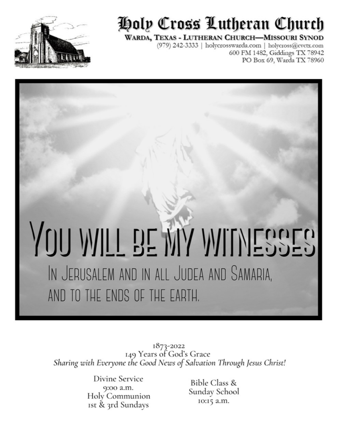

## Holp Cross Lutheran Church

#### WARDA, TEXAS - LUTHERAN CHURCH-MISSOURI SYNOD

(979) 242-3333 | holycrosswarda.com | holycross@cvctx.com 600 FM 1482, Giddings TX 78942 PO Box 69, Warda TX 78960

# YOU WILL BE MY WITNESSES IN JERUSALEM AND IN ALL JUDEA AND SAMARIA, AND TO THE ENDS OF THE EARTH.

1873-2022<br>149 Years of God's Grace Sharing with Everyone the Good News of Salvation Through Jesus Christ!

> Divine Service 9:00 a.m. Holy Communion Ist & 3rd Sundays

Bible Class & Sunday School 10:15 a.m.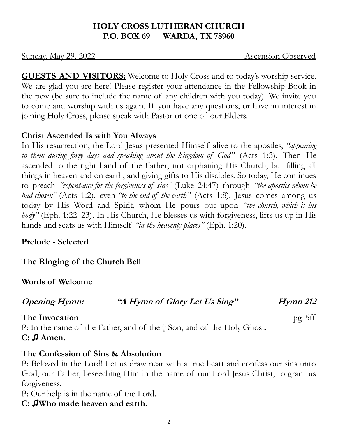#### **HOLY CROSS LUTHERAN CHURCH P.O. BOX 69 WARDA, TX 78960**

Sunday, May 29, 2022 Ascension Observed

**GUESTS AND VISITORS:** Welcome to Holy Cross and to today's worship service. We are glad you are here! Please register your attendance in the Fellowship Book in the pew (be sure to include the name of any children with you today). We invite you to come and worship with us again. If you have any questions, or have an interest in joining Holy Cross, please speak with Pastor or one of our Elders.

#### **Christ Ascended Is with You Always**

In His resurrection, the Lord Jesus presented Himself alive to the apostles, *"appearing to them during forty days and speaking about the kingdom of God"* (Acts 1:3). Then He ascended to the right hand of the Father, not orphaning His Church, but filling all things in heaven and on earth, and giving gifts to His disciples. So today, He continues to preach *"repentance for the forgiveness of sins"* (Luke 24:47) through *"the apostles whom he had chosen"* (Acts 1:2), even *"to the end of the earth"* (Acts 1:8). Jesus comes among us today by His Word and Spirit, whom He pours out upon *"the church, which is his body"* (Eph. 1:22–23). In His Church, He blesses us with forgiveness, lifts us up in His hands and seats us with Himself *"in the heavenly places"* (Eph. 1:20).

**Prelude - Selected**

**The Ringing of the Church Bell**

**Words of Welcome**

| <b>Opening Hymn:</b> | "A Hymn of Glory Let Us Sing" | <b>Hymn 212</b> |
|----------------------|-------------------------------|-----------------|
|                      |                               |                 |

**The Invocation** pg. 5ff P: In the name of the Father, and of the † Son, and of the Holy Ghost.

#### **C: ♫ Amen.**

#### **The Confession of Sins & Absolution**

P: Beloved in the Lord! Let us draw near with a true heart and confess our sins unto God, our Father, beseeching Him in the name of our Lord Jesus Christ, to grant us forgiveness.

P: Our help is in the name of the Lord.

**C: ♫Who made heaven and earth.**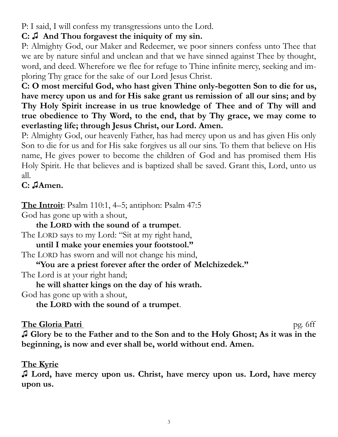P: I said, I will confess my transgressions unto the Lord.

#### **C: ♫ And Thou forgavest the iniquity of my sin.**

P: Almighty God, our Maker and Redeemer, we poor sinners confess unto Thee that we are by nature sinful and unclean and that we have sinned against Thee by thought, word, and deed. Wherefore we flee for refuge to Thine infinite mercy, seeking and imploring Thy grace for the sake of our Lord Jesus Christ.

**C: O most merciful God, who hast given Thine only-begotten Son to die for us, have mercy upon us and for His sake grant us remission of all our sins; and by Thy Holy Spirit increase in us true knowledge of Thee and of Thy will and true obedience to Thy Word, to the end, that by Thy grace, we may come to everlasting life; through Jesus Christ, our Lord. Amen.** 

P: Almighty God, our heavenly Father, has had mercy upon us and has given His only Son to die for us and for His sake forgives us all our sins. To them that believe on His name, He gives power to become the children of God and has promised them His Holy Spirit. He that believes and is baptized shall be saved. Grant this, Lord, unto us all.

#### **C: ♫Amen.**

**The Introit**: Psalm 110:1, 4–5; antiphon: Psalm 47:5

God has gone up with a shout,

**the LORD with the sound of a trumpet**. The LORD says to my Lord: "Sit at my right hand,

**until I make your enemies your footstool."**

The LORD has sworn and will not change his mind,

**"You are a priest forever after the order of Melchizedek."**

The Lord is at your right hand;

**he will shatter kings on the day of his wrath.**

God has gone up with a shout,

**the LORD with the sound of a trumpet**.

#### **The Gloria Patri** pg. 6ff

**♫ Glory be to the Father and to the Son and to the Holy Ghost; As it was in the beginning, is now and ever shall be, world without end. Amen.** 

#### **The Kyrie**

**♫ Lord, have mercy upon us. Christ, have mercy upon us. Lord, have mercy upon us.**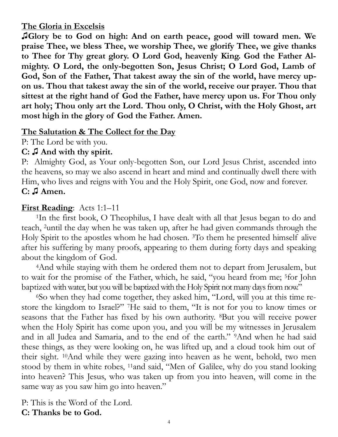#### **The Gloria in Excelsis**

**♫Glory be to God on high: And on earth peace, good will toward men. We praise Thee, we bless Thee, we worship Thee, we glorify Thee, we give thanks to Thee for Thy great glory. O Lord God, heavenly King. God the Father Almighty. O Lord, the only-begotten Son, Jesus Christ; O Lord God, Lamb of God, Son of the Father, That takest away the sin of the world, have mercy upon us. Thou that takest away the sin of the world, receive our prayer. Thou that sittest at the right hand of God the Father, have mercy upon us. For Thou only art holy; Thou only art the Lord. Thou only, O Christ, with the Holy Ghost, art most high in the glory of God the Father. Amen.** 

#### **The Salutation & The Collect for the Day**

P: The Lord be with you.

#### **C: ♫ And with thy spirit.**

P: Almighty God, as Your only-begotten Son, our Lord Jesus Christ, ascended into the heavens, so may we also ascend in heart and mind and continually dwell there with Him, who lives and reigns with You and the Holy Spirit, one God, now and forever. **C: ♫ Amen.**

#### **First Reading**: Acts 1:1–11

<sup>1</sup>In the first book, O Theophilus, I have dealt with all that Jesus began to do and teach, <sup>2</sup>until the day when he was taken up, after he had given commands through the Holy Spirit to the apostles whom he had chosen. <sup>3</sup>To them he presented himself alive after his suffering by many proofs, appearing to them during forty days and speaking about the kingdom of God.

<sup>4</sup>And while staying with them he ordered them not to depart from Jerusalem, but to wait for the promise of the Father, which, he said, "you heard from me; <sup>5</sup>for John baptized with water, but you will be baptized with the Holy Spirit not many days from now."

6So when they had come together, they asked him, "Lord, will you at this time restore the kingdom to Israel?" <sup>7</sup>He said to them, "It is not for you to know times or seasons that the Father has fixed by his own authority. <sup>8</sup>But you will receive power when the Holy Spirit has come upon you, and you will be my witnesses in Jerusalem and in all Judea and Samaria, and to the end of the earth." <sup>9</sup>And when he had said these things, as they were looking on, he was lifted up, and a cloud took him out of their sight. <sup>10</sup>And while they were gazing into heaven as he went, behold, two men stood by them in white robes, <sup>11</sup>and said, "Men of Galilee, why do you stand looking into heaven? This Jesus, who was taken up from you into heaven, will come in the same way as you saw him go into heaven."

P: This is the Word of the Lord. **C: Thanks be to God.**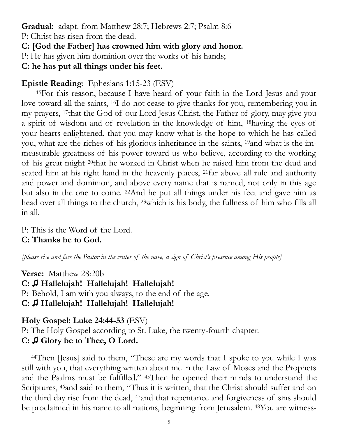**Gradual:** adapt. from Matthew 28:7; Hebrews 2:7; Psalm 8:6

P: Christ has risen from the dead.

**C: [God the Father] has crowned him with glory and honor.**

P: He has given him dominion over the works of his hands;

**C: he has put all things under his feet.**

#### **Epistle Reading**: Ephesians 1:15-23 (ESV)

<sup>15</sup>For this reason, because I have heard of your faith in the Lord Jesus and your love toward all the saints, <sup>16</sup>I do not cease to give thanks for you, remembering you in my prayers, <sup>17</sup>that the God of our Lord Jesus Christ, the Father of glory, may give you a spirit of wisdom and of revelation in the knowledge of him, <sup>18</sup>having the eyes of your hearts enlightened, that you may know what is the hope to which he has called you, what are the riches of his glorious inheritance in the saints, <sup>19</sup>and what is the immeasurable greatness of his power toward us who believe, according to the working of his great might <sup>20</sup>that he worked in Christ when he raised him from the dead and seated him at his right hand in the heavenly places, <sup>21</sup>far above all rule and authority and power and dominion, and above every name that is named, not only in this age but also in the one to come. <sup>22</sup>And he put all things under his feet and gave him as head over all things to the church, <sup>23</sup>which is his body, the fullness of him who fills all in all.

P: This is the Word of the Lord. **C: Thanks be to God.** 

*[please rise and face the Pastor in the center of the nave, a sign of Christ's presence among His people]*

**Verse:** Matthew 28:20b **C: ♫ Hallelujah! Hallelujah! Hallelujah!** P: Behold, I am with you always, to the end of the age. **C: ♫ Hallelujah! Hallelujah! Hallelujah!**

**Holy Gospel: Luke 24:44-53** (ESV)

P: The Holy Gospel according to St. Luke, the twenty-fourth chapter. **C: ♫ Glory be to Thee, O Lord.**

44Then [Jesus] said to them, "These are my words that I spoke to you while I was still with you, that everything written about me in the Law of Moses and the Prophets and the Psalms must be fulfilled." <sup>45</sup>Then he opened their minds to understand the Scriptures, <sup>46</sup>and said to them, "Thus it is written, that the Christ should suffer and on the third day rise from the dead, <sup>47</sup>and that repentance and forgiveness of sins should be proclaimed in his name to all nations, beginning from Jerusalem. <sup>48</sup>You are witness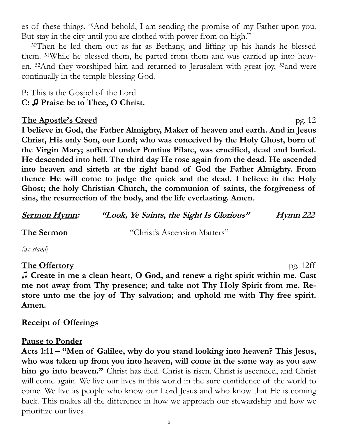es of these things. <sup>49</sup>And behold, I am sending the promise of my Father upon you. But stay in the city until you are clothed with power from on high."

<sup>50</sup>Then he led them out as far as Bethany, and lifting up his hands he blessed them. <sup>51</sup>While he blessed them, he parted from them and was carried up into heaven. <sup>52</sup>And they worshiped him and returned to Jerusalem with great joy, <sup>53</sup>and were continually in the temple blessing God.

P: This is the Gospel of the Lord. **C: ♫ Praise be to Thee, O Christ.**

#### **The Apostle's Creed** pg. 12

**I believe in God, the Father Almighty, Maker of heaven and earth. And in Jesus Christ, His only Son, our Lord; who was conceived by the Holy Ghost, born of the Virgin Mary; suffered under Pontius Pilate, was crucified, dead and buried. He descended into hell. The third day He rose again from the dead. He ascended into heaven and sitteth at the right hand of God the Father Almighty. From thence He will come to judge the quick and the dead. I believe in the Holy Ghost; the holy Christian Church, the communion of saints, the forgiveness of sins, the resurrection of the body, and the life everlasting. Amen.**

| <u>Sermon Hymn:</u> | "Look, Ye Saints, the Sight Is Glorious" | <i>Hymn 222</i> |  |
|---------------------|------------------------------------------|-----------------|--|
| The Sermon          | "Christ's Ascension Matters"             |                 |  |
| $[we$ stand $]$     |                                          |                 |  |

#### **The Offertory** pg. 12ff **♫ Create in me a clean heart, O God, and renew a right spirit within me. Cast me not away from Thy presence; and take not Thy Holy Spirit from me. Restore unto me the joy of Thy salvation; and uphold me with Thy free spirit. Amen.**

#### **Receipt of Offerings**

#### **Pause to Ponder**

**Acts 1:11 – "Men of Galilee, why do you stand looking into heaven? This Jesus, who was taken up from you into heaven, will come in the same way as you saw him go into heaven."** Christ has died. Christ is risen. Christ is ascended, and Christ will come again. We live our lives in this world in the sure confidence of the world to come. We live as people who know our Lord Jesus and who know that He is coming back. This makes all the difference in how we approach our stewardship and how we prioritize our lives.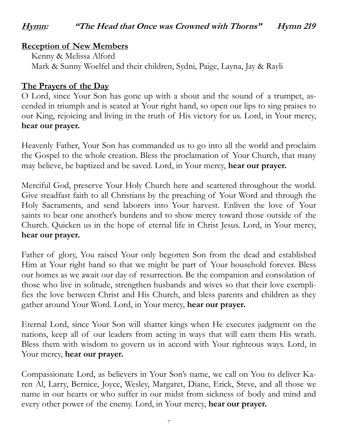#### **Hymn: "The Head that Once was Crowned with Thorns" Hymn 219**

#### **Reception of New Members**

Kenny & Melissa Alford Mark & Sunny Woelfel and their children, Sydni, Paige, Layna, Jay & Rayli

#### **The Prayers of the Day**

O Lord, since Your Son has gone up with a shout and the sound of a trumpet, ascended in triumph and is seated at Your right hand, so open our lips to sing praises to our King, rejoicing and living in the truth of His victory for us. Lord, in Your mercy, **hear our prayer.**

Heavenly Father, Your Son has commanded us to go into all the world and proclaim the Gospel to the whole creation. Bless the proclamation of Your Church, that many may believe, be baptized and be saved. Lord, in Your mercy, **hear our prayer.**

Merciful God, preserve Your Holy Church here and scattered throughout the world. Give steadfast faith to all Christians by the preaching of Your Word and through the Holy Sacraments, and send laborers into Your harvest. Enliven the love of Your saints to bear one another's burdens and to show mercy toward those outside of the Church. Quicken us in the hope of eternal life in Christ Jesus. Lord, in Your mercy, **hear our prayer.**

Father of glory, You raised Your only begotten Son from the dead and established Him at Your right hand so that we might be part of Your household forever. Bless our homes as we await our day of resurrection. Be the companion and consolation of those who live in solitude, strengthen husbands and wives so that their love exemplifies the love between Christ and His Church, and bless parents and children as they gather around Your Word. Lord, in Your mercy, **hear our prayer.**

Eternal Lord, since Your Son will shatter kings when He executes judgment on the nations, keep all of our leaders from acting in ways that will earn them His wrath. Bless them with wisdom to govern us in accord with Your righteous ways. Lord, in Your mercy, **hear our prayer.**

Compassionate Lord, as believers in Your Son's name, we call on You to deliver Karen Al, Larry, Bernice, Joyce, Wesley, Margaret, Diane, Erick, Steve, and all those we name in our hearts or who suffer in our midst from sickness of body and mind and every other power of the enemy. Lord, in Your mercy, **hear our prayer.**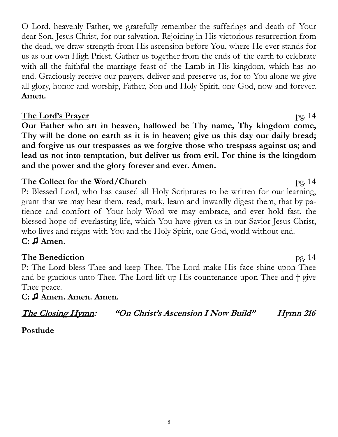O Lord, heavenly Father, we gratefully remember the sufferings and death of Your dear Son, Jesus Christ, for our salvation. Rejoicing in His victorious resurrection from the dead, we draw strength from His ascension before You, where He ever stands for us as our own High Priest. Gather us together from the ends of the earth to celebrate with all the faithful the marriage feast of the Lamb in His kingdom, which has no end. Graciously receive our prayers, deliver and preserve us, for to You alone we give all glory, honor and worship, Father, Son and Holy Spirit, one God, now and forever. **Amen.** 

#### **The Lord's Prayer** pg. 14

**Our Father who art in heaven, hallowed be Thy name, Thy kingdom come, Thy will be done on earth as it is in heaven; give us this day our daily bread; and forgive us our trespasses as we forgive those who trespass against us; and lead us not into temptation, but deliver us from evil. For thine is the kingdom and the power and the glory forever and ever. Amen.**

#### **The Collect for the Word/Church** pg. 14

P: Blessed Lord, who has caused all Holy Scriptures to be written for our learning, grant that we may hear them, read, mark, learn and inwardly digest them, that by patience and comfort of Your holy Word we may embrace, and ever hold fast, the blessed hope of everlasting life, which You have given us in our Savior Jesus Christ, who lives and reigns with You and the Holy Spirit, one God, world without end. **C: ♫ Amen.** 

#### **The Benediction** pg. 14

P: The Lord bless Thee and keep Thee. The Lord make His face shine upon Thee and be gracious unto Thee. The Lord lift up His countenance upon Thee and † give Thee peace.

#### **C: ♫ Amen. Amen. Amen.**

**The Closing Hymn: "On Christ's Ascension I Now Build" Hymn 216** 

**Postlude**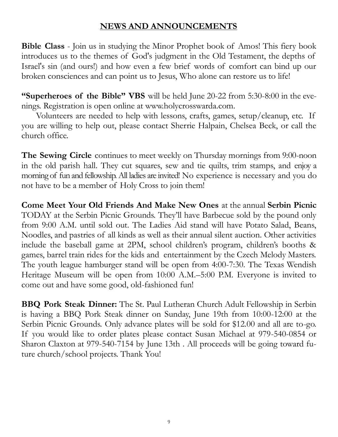#### **NEWS AND ANNOUNCEMENTS**

**Bible Class** - Join us in studying the Minor Prophet book of Amos! This fiery book introduces us to the themes of God's judgment in the Old Testament, the depths of Israel's sin (and ours!) and how even a few brief words of comfort can bind up our broken consciences and can point us to Jesus, Who alone can restore us to life!

**"Superheroes of the Bible" VBS** will be held June 20-22 from 5:30-8:00 in the evenings. Registration is open online at www.holycrosswarda.com.

Volunteers are needed to help with lessons, crafts, games, setup/cleanup, etc. If you are willing to help out, please contact Sherrie Halpain, Chelsea Beck, or call the church office.

**The Sewing Circle** continues to meet weekly on Thursday mornings from 9:00-noon in the old parish hall. They cut squares, sew and tie quilts, trim stamps, and enjoy a morning of fun and fellowship. All ladies are invited! No experience is necessary and you do not have to be a member of Holy Cross to join them!

**Come Meet Your Old Friends And Make New Ones** at the annual **Serbin Picnic**  TODAY at the Serbin Picnic Grounds. They'll have Barbecue sold by the pound only from 9:00 A.M. until sold out. The Ladies Aid stand will have Potato Salad, Beans, Noodles, and pastries of all kinds as well as their annual silent auction. Other activities include the baseball game at 2PM, school children's program, children's booths & games, barrel train rides for the kids and entertainment by the Czech Melody Masters. The youth league hamburger stand will be open from 4:00-7:30. The Texas Wendish Heritage Museum will be open from 10:00 A.M.–5:00 P.M. Everyone is invited to come out and have some good, old-fashioned fun!

**BBQ Pork Steak Dinner:** The St. Paul Lutheran Church Adult Fellowship in Serbin is having a BBQ Pork Steak dinner on Sunday, June 19th from 10:00-12:00 at the Serbin Picnic Grounds. Only advance plates will be sold for \$12.00 and all are to-go. If you would like to order plates please contact Susan Michael at 979-540-0854 or Sharon Claxton at 979-540-7154 by June 13th . All proceeds will be going toward future church/school projects. Thank You!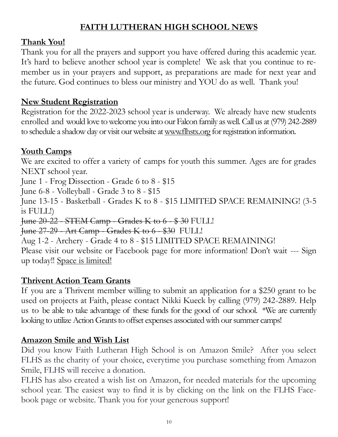#### **FAITH LUTHERAN HIGH SCHOOL NEWS**

#### **Thank You!**

Thank you for all the prayers and support you have offered during this academic year. It's hard to believe another school year is complete! We ask that you continue to remember us in your prayers and support, as preparations are made for next year and the future. God continues to bless our ministry and YOU do as well. Thank you!

#### **New Student Registration**

Registration for the 2022-2023 school year is underway. We already have new students enrolled and would love to welcome you into our Falcon family as well. Call us at (979) 242-2889 to schedule a shadow day or visit our website at [www.flhstx.org](http://www.flhstx.org) for registration information.

#### **Youth Camps**

We are excited to offer a variety of camps for youth this summer. Ages are for grades NEXT school year. June 1 - Frog Dissection - Grade 6 to 8 - \$15 June 6-8 - Volleyball - Grade 3 to 8 - \$15 June 13-15 - Basketball - Grades K to 8 - \$15 LIMITED SPACE REMAINING! (3-5 is FULL!) June 20-22 - STEM Camp - Grades K to 6 - \$ 30 FULL! June 27-29 - Art Camp - Grades K to 6 - \$30 FULL! Aug 1-2 - Archery - Grade 4 to 8 - \$15 LIMITED SPACE REMAINING! Please visit our website or Facebook page for more information! Don't wait --- Sign up today!! Space is limited!

#### **Thrivent Action Team Grants**

If you are a Thrivent member willing to submit an application for a \$250 grant to be used on projects at Faith, please contact Nikki Kueck by calling (979) 242-2889. Help us to be able to take advantage of these funds for the good of our school. \*We are currently looking to utilize Action Grants to offset expenses associated with our summer camps!

#### **Amazon Smile and Wish List**

Did you know Faith Lutheran High School is on Amazon Smile? After you select FLHS as the charity of your choice, everytime you purchase something from Amazon Smile, FLHS will receive a donation.

FLHS has also created a wish list on Amazon, for needed materials for the upcoming school year. The easiest way to find it is by clicking on the link on the FLHS Facebook page or website. Thank you for your generous support!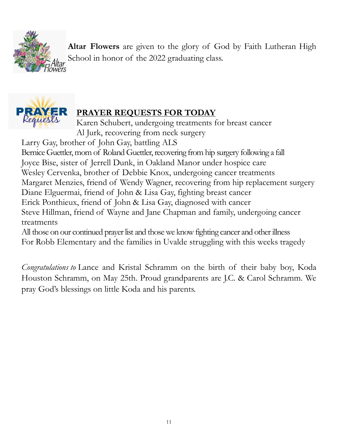

**Altar Flowers** are given to the glory of God by Faith Lutheran High School in honor of the 2022 graduating class.



### **PRAYER REQUESTS FOR TODAY**

Karen Schubert, undergoing treatments for breast cancer Al Jurk, recovering from neck surgery

Larry Gay, brother of John Gay, battling ALS

Bernice Guettler, mom of Roland Guettler, recovering from hip surgery following a fall Joyce Bise, sister of Jerrell Dunk, in Oakland Manor under hospice care Wesley Cervenka, brother of Debbie Knox, undergoing cancer treatments Margaret Menzies, friend of Wendy Wagner, recovering from hip replacement surgery Diane Elguermai, friend of John & Lisa Gay, fighting breast cancer Erick Ponthieux, friend of John & Lisa Gay, diagnosed with cancer Steve Hillman, friend of Wayne and Jane Chapman and family, undergoing cancer treatments

All those on our continued prayer list and those we know fighting cancer and other illness For Robb Elementary and the families in Uvalde struggling with this weeks tragedy

*Congratulations to* Lance and Kristal Schramm on the birth of their baby boy, Koda Houston Schramm, on May 25th. Proud grandparents are J.C. & Carol Schramm. We pray God's blessings on little Koda and his parents.